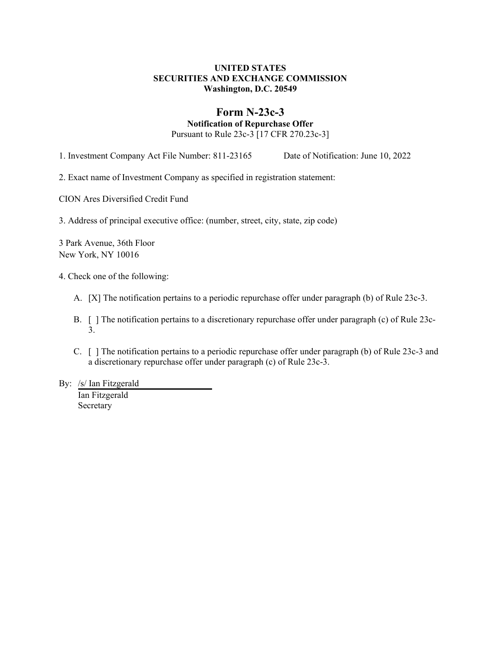### **UNITED STATES SECURITIES AND EXCHANGE COMMISSION Washington, D.C. 20549**

# **Form N-23c-3**

**Notification of Repurchase Offer**

Pursuant to Rule 23c-3 [17 CFR 270.23c-3]

1. Investment Company Act File Number: 811-23165 Date of Notification: June 10, 2022

2. Exact name of Investment Company as specified in registration statement:

CION Ares Diversified Credit Fund

3. Address of principal executive office: (number, street, city, state, zip code)

3 Park Avenue, 36th Floor New York, NY 10016

4. Check one of the following:

- A. [X] The notification pertains to a periodic repurchase offer under paragraph (b) of Rule 23c-3.
- B. [ ] The notification pertains to a discretionary repurchase offer under paragraph (c) of Rule 23c-3.
- C. [ ] The notification pertains to a periodic repurchase offer under paragraph (b) of Rule 23c-3 and a discretionary repurchase offer under paragraph (c) of Rule 23c-3.
- By: /s/ Ian Fitzgerald Ian Fitzgerald

Secretary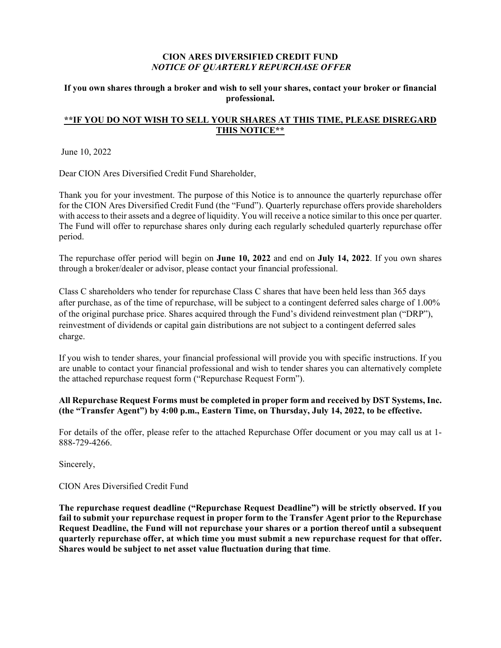### **CION ARES DIVERSIFIED CREDIT FUND** *NOTICE OF QUARTERLY REPURCHASE OFFER*

### **If you own shares through a broker and wish to sell your shares, contact your broker or financial professional.**

## **\*\*IF YOU DO NOT WISH TO SELL YOUR SHARES AT THIS TIME, PLEASE DISREGARD THIS NOTICE\*\***

June 10, 2022

Dear CION Ares Diversified Credit Fund Shareholder,

Thank you for your investment. The purpose of this Notice is to announce the quarterly repurchase offer for the CION Ares Diversified Credit Fund (the "Fund"). Quarterly repurchase offers provide shareholders with access to their assets and a degree of liquidity. You will receive a notice similar to this once per quarter. The Fund will offer to repurchase shares only during each regularly scheduled quarterly repurchase offer period.

The repurchase offer period will begin on **June 10, 2022** and end on **July 14, 2022**. If you own shares through a broker/dealer or advisor, please contact your financial professional.

Class C shareholders who tender for repurchase Class C shares that have been held less than 365 days after purchase, as of the time of repurchase, will be subject to a contingent deferred sales charge of 1.00% of the original purchase price. Shares acquired through the Fund's dividend reinvestment plan ("DRP"), reinvestment of dividends or capital gain distributions are not subject to a contingent deferred sales charge.

If you wish to tender shares, your financial professional will provide you with specific instructions. If you are unable to contact your financial professional and wish to tender shares you can alternatively complete the attached repurchase request form ("Repurchase Request Form").

### **All Repurchase Request Forms must be completed in proper form and received by DST Systems, Inc. (the "Transfer Agent") by 4:00 p.m., Eastern Time, on Thursday, July 14, 2022, to be effective.**

For details of the offer, please refer to the attached Repurchase Offer document or you may call us at 1- 888-729-4266.

Sincerely,

### CION Ares Diversified Credit Fund

**The repurchase request deadline ("Repurchase Request Deadline") will be strictly observed. If you fail to submit your repurchase request in proper form to the Transfer Agent prior to the Repurchase Request Deadline, the Fund will not repurchase your shares or a portion thereof until a subsequent quarterly repurchase offer, at which time you must submit a new repurchase request for that offer. Shares would be subject to net asset value fluctuation during that time**.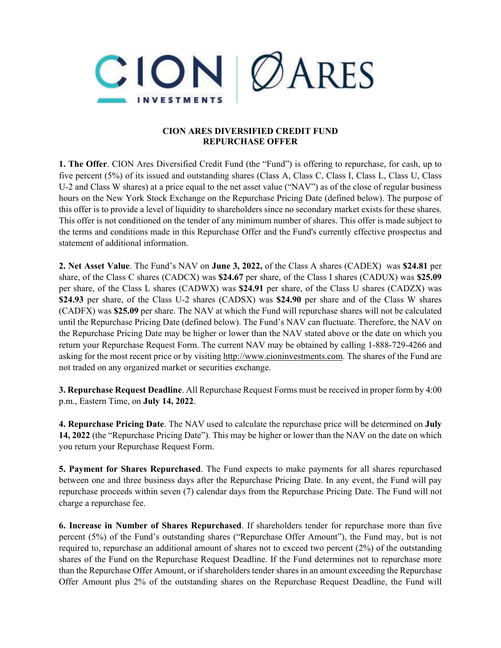

### **CION ARES DIVERSIFIED CREDIT FUND REPURCHASE OFFER**

**1. The Offer**. CION Ares Diversified Credit Fund (the "Fund") is offering to repurchase, for cash, up to five percent (5%) of its issued and outstanding shares (Class A, Class C, Class I, Class L, Class U, Class U-2 and Class W shares) at a price equal to the net asset value ("NAV") as of the close of regular business hours on the New York Stock Exchange on the Repurchase Pricing Date (defined below). The purpose of this offer is to provide a level of liquidity to shareholders since no secondary market exists for these shares. This offer is not conditioned on the tender of any minimum number of shares. This offer is made subject to the terms and conditions made in this Repurchase Offer and the Fund's currently effective prospectus and statement of additional information.

**2. Net Asset Value**. The Fund's NAV on **June 3, 2022,** of the Class A shares (CADEX) was **\$24.81** per share, of the Class C shares (CADCX) was **\$24.67** per share, of the Class I shares (CADUX) was **\$25.09** per share, of the Class L shares (CADWX) was **\$24.91** per share, of the Class U shares (CADZX) was **\$24.93** per share, of the Class U-2 shares (CADSX) was **\$24.90** per share and of the Class W shares (CADFX) was **\$25.09** per share. The NAV at which the Fund will repurchase shares will not be calculated until the Repurchase Pricing Date (defined below). The Fund's NAV can fluctuate. Therefore, the NAV on the Repurchase Pricing Date may be higher or lower than the NAV stated above or the date on which you return your Repurchase Request Form. The current NAV may be obtained by calling 1-888-729-4266 and asking for the most recent price or by visiting http://www.cioninvestments.com. The shares of the Fund are not traded on any organized market or securities exchange.

**3. Repurchase Request Deadline**. All Repurchase Request Forms must be received in proper form by 4:00 p.m., Eastern Time, on **July 14, 2022**.

**4. Repurchase Pricing Date**. The NAV used to calculate the repurchase price will be determined on **July 14, 2022** (the "Repurchase Pricing Date"). This may be higher or lower than the NAV on the date on which you return your Repurchase Request Form.

**5. Payment for Shares Repurchased**. The Fund expects to make payments for all shares repurchased between one and three business days after the Repurchase Pricing Date. In any event, the Fund will pay repurchase proceeds within seven (7) calendar days from the Repurchase Pricing Date. The Fund will not charge a repurchase fee.

**6. Increase in Number of Shares Repurchased**. If shareholders tender for repurchase more than five percent (5%) of the Fund's outstanding shares ("Repurchase Offer Amount"), the Fund may, but is not required to, repurchase an additional amount of shares not to exceed two percent (2%) of the outstanding shares of the Fund on the Repurchase Request Deadline. If the Fund determines not to repurchase more than the Repurchase Offer Amount, or if shareholders tender shares in an amount exceeding the Repurchase Offer Amount plus 2% of the outstanding shares on the Repurchase Request Deadline, the Fund will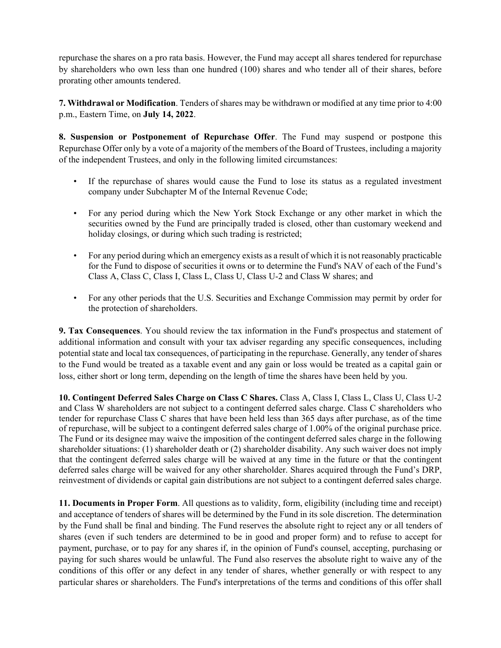repurchase the shares on a pro rata basis. However, the Fund may accept all shares tendered for repurchase by shareholders who own less than one hundred (100) shares and who tender all of their shares, before prorating other amounts tendered.

**7. Withdrawal or Modification**. Tenders of shares may be withdrawn or modified at any time prior to 4:00 p.m., Eastern Time, on **July 14, 2022**.

**8. Suspension or Postponement of Repurchase Offer**. The Fund may suspend or postpone this Repurchase Offer only by a vote of a majority of the members of the Board of Trustees, including a majority of the independent Trustees, and only in the following limited circumstances:

- If the repurchase of shares would cause the Fund to lose its status as a regulated investment company under Subchapter M of the Internal Revenue Code;
- For any period during which the New York Stock Exchange or any other market in which the securities owned by the Fund are principally traded is closed, other than customary weekend and holiday closings, or during which such trading is restricted;
- For any period during which an emergency exists as a result of which it is not reasonably practicable for the Fund to dispose of securities it owns or to determine the Fund's NAV of each of the Fund's Class A, Class C, Class I, Class L, Class U, Class U-2 and Class W shares; and
- For any other periods that the U.S. Securities and Exchange Commission may permit by order for the protection of shareholders.

**9. Tax Consequences**. You should review the tax information in the Fund's prospectus and statement of additional information and consult with your tax adviser regarding any specific consequences, including potential state and local tax consequences, of participating in the repurchase. Generally, any tender of shares to the Fund would be treated as a taxable event and any gain or loss would be treated as a capital gain or loss, either short or long term, depending on the length of time the shares have been held by you.

**10. Contingent Deferred Sales Charge on Class C Shares.** Class A, Class I, Class L, Class U, Class U-2 and Class W shareholders are not subject to a contingent deferred sales charge. Class C shareholders who tender for repurchase Class C shares that have been held less than 365 days after purchase, as of the time of repurchase, will be subject to a contingent deferred sales charge of 1.00% of the original purchase price. The Fund or its designee may waive the imposition of the contingent deferred sales charge in the following shareholder situations: (1) shareholder death or (2) shareholder disability. Any such waiver does not imply that the contingent deferred sales charge will be waived at any time in the future or that the contingent deferred sales charge will be waived for any other shareholder. Shares acquired through the Fund's DRP, reinvestment of dividends or capital gain distributions are not subject to a contingent deferred sales charge.

**11. Documents in Proper Form**. All questions as to validity, form, eligibility (including time and receipt) and acceptance of tenders of shares will be determined by the Fund in its sole discretion. The determination by the Fund shall be final and binding. The Fund reserves the absolute right to reject any or all tenders of shares (even if such tenders are determined to be in good and proper form) and to refuse to accept for payment, purchase, or to pay for any shares if, in the opinion of Fund's counsel, accepting, purchasing or paying for such shares would be unlawful. The Fund also reserves the absolute right to waive any of the conditions of this offer or any defect in any tender of shares, whether generally or with respect to any particular shares or shareholders. The Fund's interpretations of the terms and conditions of this offer shall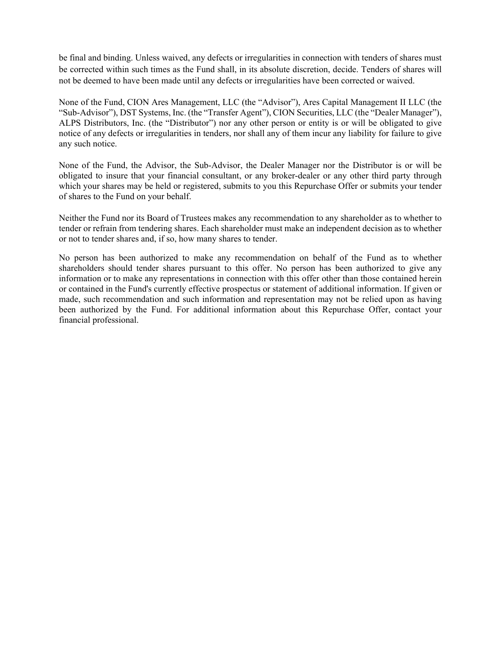be final and binding. Unless waived, any defects or irregularities in connection with tenders of shares must be corrected within such times as the Fund shall, in its absolute discretion, decide. Tenders of shares will not be deemed to have been made until any defects or irregularities have been corrected or waived.

None of the Fund, CION Ares Management, LLC (the "Advisor"), Ares Capital Management II LLC (the "Sub-Advisor"), DST Systems, Inc. (the "Transfer Agent"), CION Securities, LLC (the "Dealer Manager"), ALPS Distributors, Inc. (the "Distributor") nor any other person or entity is or will be obligated to give notice of any defects or irregularities in tenders, nor shall any of them incur any liability for failure to give any such notice.

None of the Fund, the Advisor, the Sub-Advisor, the Dealer Manager nor the Distributor is or will be obligated to insure that your financial consultant, or any broker-dealer or any other third party through which your shares may be held or registered, submits to you this Repurchase Offer or submits your tender of shares to the Fund on your behalf.

Neither the Fund nor its Board of Trustees makes any recommendation to any shareholder as to whether to tender or refrain from tendering shares. Each shareholder must make an independent decision as to whether or not to tender shares and, if so, how many shares to tender.

No person has been authorized to make any recommendation on behalf of the Fund as to whether shareholders should tender shares pursuant to this offer. No person has been authorized to give any information or to make any representations in connection with this offer other than those contained herein or contained in the Fund's currently effective prospectus or statement of additional information. If given or made, such recommendation and such information and representation may not be relied upon as having been authorized by the Fund. For additional information about this Repurchase Offer, contact your financial professional.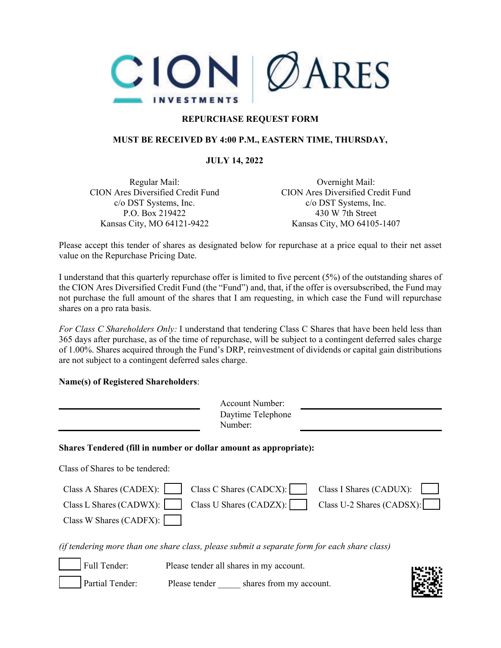

# **REPURCHASE REQUEST FORM**

### **MUST BE RECEIVED BY 4:00 P.M., EASTERN TIME, THURSDAY,**

### **JULY 14, 2022**

Regular Mail: CION Ares Diversified Credit Fund c/o DST Systems, Inc. P.O. Box 219422 Kansas City, MO 64121-9422

Overnight Mail: CION Ares Diversified Credit Fund c/o DST Systems, Inc. 430 W 7th Street Kansas City, MO 64105-1407

Please accept this tender of shares as designated below for repurchase at a price equal to their net asset value on the Repurchase Pricing Date.

I understand that this quarterly repurchase offer is limited to five percent (5%) of the outstanding shares of the CION Ares Diversified Credit Fund (the "Fund") and, that, if the offer is oversubscribed, the Fund may not purchase the full amount of the shares that I am requesting, in which case the Fund will repurchase shares on a pro rata basis.

*For Class C Shareholders Only:* I understand that tendering Class C Shares that have been held less than 365 days after purchase, as of the time of repurchase, will be subject to a contingent deferred sales charge of 1.00%. Shares acquired through the Fund's DRP, reinvestment of dividends or capital gain distributions are not subject to a contingent deferred sales charge.

### **Name(s) of Registered Shareholders**:

|                                                                                              |               | Number: | Account Number:<br>Daytime Telephone               |                                                      |  |
|----------------------------------------------------------------------------------------------|---------------|---------|----------------------------------------------------|------------------------------------------------------|--|
| Shares Tendered (fill in number or dollar amount as appropriate):                            |               |         |                                                    |                                                      |  |
| Class of Shares to be tendered:                                                              |               |         |                                                    |                                                      |  |
| Class A Shares (CADEX):<br>Class L Shares (CADWX):<br>Class W Shares (CADFX):                |               |         | Class C Shares (CADCX):<br>Class U Shares (CADZX): | Class I Shares (CADUX):<br>Class U-2 Shares (CADSX): |  |
| (if tendering more than one share class, please submit a separate form for each share class) |               |         |                                                    |                                                      |  |
| Full Tender:                                                                                 |               |         | Please tender all shares in my account.            |                                                      |  |
| Partial Tender:                                                                              | Please tender |         | shares from my account.                            |                                                      |  |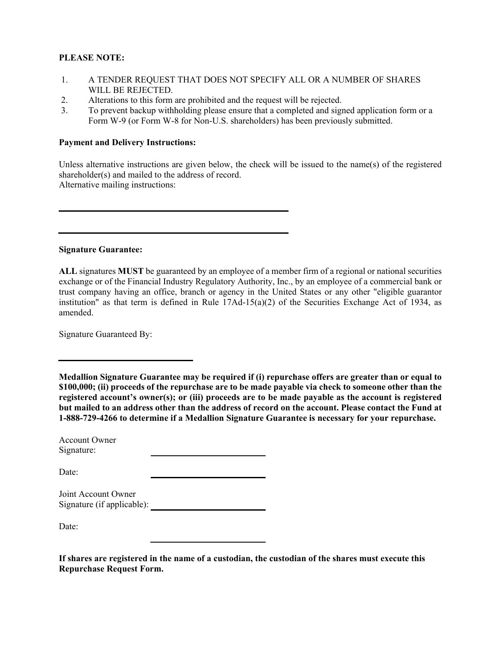### **PLEASE NOTE:**

- 1. A TENDER REQUEST THAT DOES NOT SPECIFY ALL OR A NUMBER OF SHARES WILL BE REJECTED.
- 2. Alterations to this form are prohibited and the request will be rejected.
- 3. To prevent backup withholding please ensure that a completed and signed application form or a Form W-9 (or Form W-8 for Non-U.S. shareholders) has been previously submitted.

### **Payment and Delivery Instructions:**

Unless alternative instructions are given below, the check will be issued to the name(s) of the registered shareholder(s) and mailed to the address of record. Alternative mailing instructions:

**Signature Guarantee:**

**ALL** signatures **MUST** be guaranteed by an employee of a member firm of a regional or national securities exchange or of the Financial Industry Regulatory Authority, Inc., by an employee of a commercial bank or trust company having an office, branch or agency in the United States or any other "eligible guarantor institution" as that term is defined in Rule 17Ad-15(a)(2) of the Securities Exchange Act of 1934, as amended.

Signature Guaranteed By:

**Medallion Signature Guarantee may be required if (i) repurchase offers are greater than or equal to \$100,000; (ii) proceeds of the repurchase are to be made payable via check to someone other than the registered account's owner(s); or (iii) proceeds are to be made payable as the account is registered but mailed to an address other than the address of record on the account. Please contact the Fund at 1-888-729-4266 to determine if a Medallion Signature Guarantee is necessary for your repurchase.**

| Account Owner |  |
|---------------|--|
| Signature:    |  |

Date:

| Joint Account Owner        |  |
|----------------------------|--|
| Signature (if applicable): |  |

Date:

|                                 | If shares are registered in the name of a custodian, the custodian of the shares must execute this |  |
|---------------------------------|----------------------------------------------------------------------------------------------------|--|
| <b>Repurchase Request Form.</b> |                                                                                                    |  |